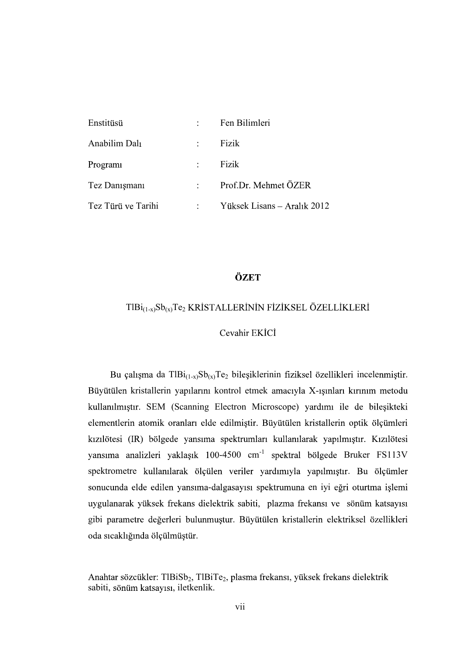| Enstitüsü          | $\ddot{\phantom{a}}$ | Fen Bilimleri               |
|--------------------|----------------------|-----------------------------|
| Anabilim Dalı      | $\ddot{\phantom{a}}$ | Fizik                       |
| Program            | $\ddot{\phantom{a}}$ | Fizik                       |
| Tez Danışmanı      | $\mathbb{R}^n$       | Prof.Dr. Mehmet ÖZER        |
| Tez Türü ve Tarihi | $\ddot{\cdot}$       | Yüksek Lisans – Aralık 2012 |

## ÖZET

# $TlBi_{(1-x)}Sb_{(x)}Te_2$  KRİSTALLERİNİN FİZİKSEL ÖZELLİKLERİ

#### Cevahir EKİCİ

Bu çalışma da Tl $Bi_{(1-x)}Sb_{(x)}Te_2$  bileşiklerinin fiziksel özellikleri incelenmiştir.<br>Büyütülen kristallerin yapılarını kontrol etmek amacıyla X-ısınları kırınım metodu kullanılmıştır. SEM (Scanning Electron Microscope) yardımı ile de bileşikteki elementlerin atomik oranları elde edilmiştir. Büyütülen kristallerin optik ölçümleri kızılötesi (IR) bölgede yansıma spektrumları kullanılarak yapılmıştır. Kızılötesi yansıma analizleri yaklaşık 100-4500 cm<sup>-1</sup> spektral bölgede Bruker FS113V spektrometre kullanılarak ölçülen veriler yardımıyla yapılmıştır. Bu ölçümler<br>sonucunda elde edilen yansıma-dalgasayısı spektrumuna en iyi eğri oturtma işlemi uygulanarak yüksek frekans dielektrik sabiti, plazma frekansı ve sönüm katsayısı gibi parametre değerleri bulunmuştur. Büyütülen kristallerin elektriksel özellikleri

oda sıcaklığında ölçülmüştür.<br>Anahtar sözcükler: TlBiSb<sub>2</sub>, TlBiTe<sub>2</sub>, plasma frekansı, yüksek frekans dielektrik<br>sabiti, sönüm katsayısı, iletkenlik.